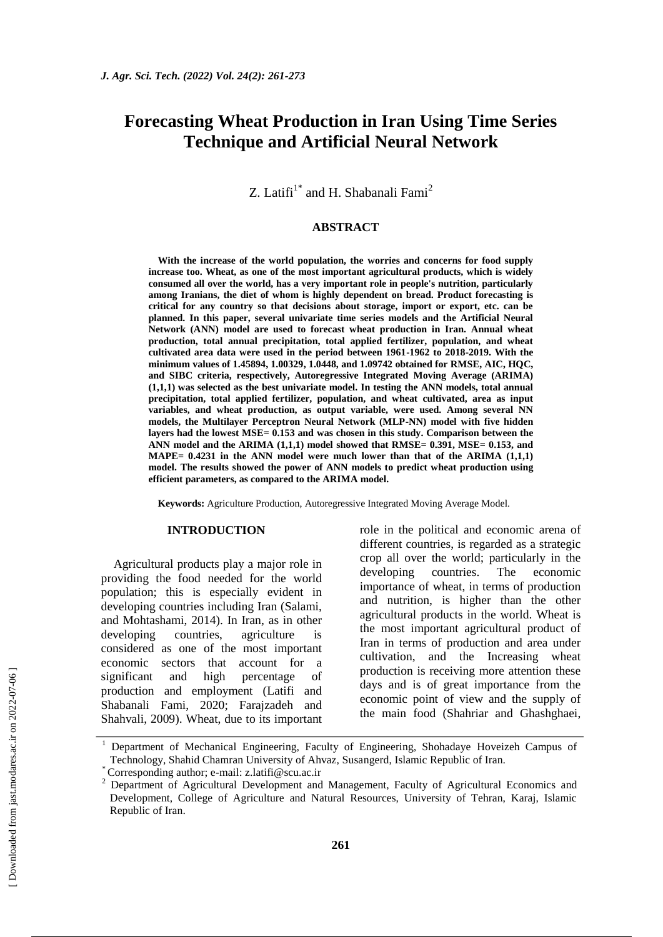# **Forecasting Wheat Production in Iran Using Time Series Technique and Artificial Neural Network**

Z. Latifi $1^*$  and H. Shabanali Fami<sup>2</sup>

# **ABSTRACT**

**With the increase of the world population, the worries and concerns for food supply increase too. Wheat, as one of the most important agricultural products, which is widely consumed all over the world, has a very important role in people's nutrition, particularly among Iranians, the diet of whom is highly dependent on bread. Product forecasting is critical for any country so that decisions about storage, import or export, etc. can be planned. In this paper, several univariate time series models and the Artificial Neural Network (ANN) model are used to forecast wheat production in Iran. Annual wheat production, total annual precipitation, total applied fertilizer, population, and wheat cultivated area data were used in the period between 1961-1962 to 2018-2019. With the minimum values of 1.45894, 1.00329, 1.0448, and 1.09742 obtained for RMSE, AIC, HQC, and SIBC criteria, respectively, Autoregressive Integrated Moving Average (ARIMA) (1,1,1) was selected as the best univariate model. In testing the ANN models, total annual precipitation, total applied fertilizer, population, and wheat cultivated, area as input variables, and wheat production, as output variable, were used. Among several NN models, the Multilayer Perceptron Neural Network (MLP-NN) model with five hidden layers had the lowest MSE= 0.153 and was chosen in this study. Comparison between the ANN model and the ARIMA (1,1,1) model showed that RMSE= 0.391, MSE= 0.153, and MAPE= 0.4231 in the ANN model were much lower than that of the ARIMA (1,1,1) model. The results showed the power of ANN models to predict wheat production using efficient parameters, as compared to the ARIMA model.** 

**Keywords:** Agriculture Production, Autoregressive Integrated Moving Average Model.

#### **INTRODUCTION**

Agricultural products play a major role in providing the food needed for the world population; this is especially evident in developing countries including Iran (Salami, and Mohtashami, 2014). In Iran, as in other developing countries, agriculture is considered as one of the most important economic sectors that account for a significant and high percentage of production and employment (Latifi and Shabanali Fami, 2020; Farajzadeh and Shahvali, 2009). Wheat, due to its important role in the political and economic arena of different countries, is regarded as a strategic crop all over the world; particularly in the developing countries. The economic importance of wheat, in terms of production and nutrition, is higher than the other agricultural products in the world. Wheat is the most important agricultural product of Iran in terms of production and area under cultivation, and the Increasing wheat production is receiving more attention these days and is of great importance from the economic point of view and the supply of the main food (Shahriar and Ghashghaei,

<sup>1</sup> Department of Mechanical Engineering, Faculty of Engineering, Shohadaye Hoveizeh Campus of Technology, Shahid Chamran University of Ahvaz, Susangerd, Islamic Republic of Iran.

<sup>\*</sup> Corresponding author; e-mail: z.latifi@scu.ac.ir

<sup>&</sup>lt;sup>2</sup> Department of Agricultural Development and Management, Faculty of Agricultural Economics and Development, College of Agriculture and Natural Resources, University of Tehran, Karaj, Islamic Republic of Iran.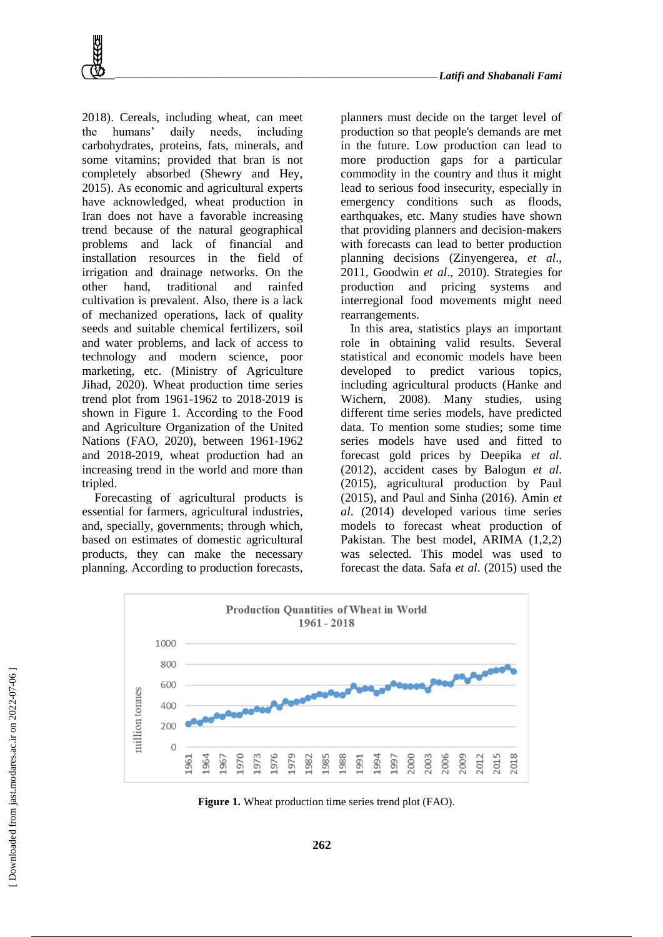

2018). Cereals, including wheat, can meet the humans' daily needs, including carbohydrates, proteins, fats, minerals, and some vitamins; provided that bran is not completely absorbed (Shewry and Hey, 2015). As economic and agricultural experts have acknowledged, wheat production in Iran does not have a favorable increasing trend because of the natural geographical problems and lack of financial and installation resources in the field of irrigation and drainage networks. On the other hand, traditional and rainfed cultivation is prevalent. Also, there is a lack of mechanized operations, lack of quality seeds and suitable chemical fertilizers, soil and water problems, and lack of access to technology and modern science, poor marketing, etc. (Ministry of Agriculture Jihad, 2020). Wheat production time series trend plot from 1961-1962 to 2018-2019 is shown in Figure 1. According to the Food and Agriculture Organization of the United Nations (FAO, 2020), between 1961-1962 and 2018-2019, wheat production had an increasing trend in the world and more than tripled.

Forecasting of agricultural products is essential for farmers, agricultural industries, and, specially, governments; through which, based on estimates of domestic agricultural products, they can make the necessary planning. According to production forecasts, planners must decide on the target level of production so that people's demands are met in the future. Low production can lead to more production gaps for a particular commodity in the country and thus it might lead to serious food insecurity, especially in emergency conditions such as floods, earthquakes, etc. Many studies have shown that providing planners and decision-makers with forecasts can lead to better production planning decisions (Zinyengerea, *et al*., 2011, Goodwin *et al*., 2010). Strategies for production and pricing systems and interregional food movements might need rearrangements.

In this area, statistics plays an important role in obtaining valid results. Several statistical and economic models have been developed to predict various topics, including agricultural products (Hanke and Wichern, 2008). Many studies, using different time series models, have predicted data. To mention some studies; some time series models have used and fitted to forecast gold prices by Deepika *et al*. (2012), accident cases by Balogun *et al*. (2015), agricultural production by Paul (2015), and Paul and Sinha (2016). Amin *et al*. (2014) developed various time series models to forecast wheat production of Pakistan. The best model, ARIMA (1,2,2) was selected. This model was used to forecast the data. Safa *et al*. (2015) used the



**Figure 1.** Wheat production time series trend plot (FAO).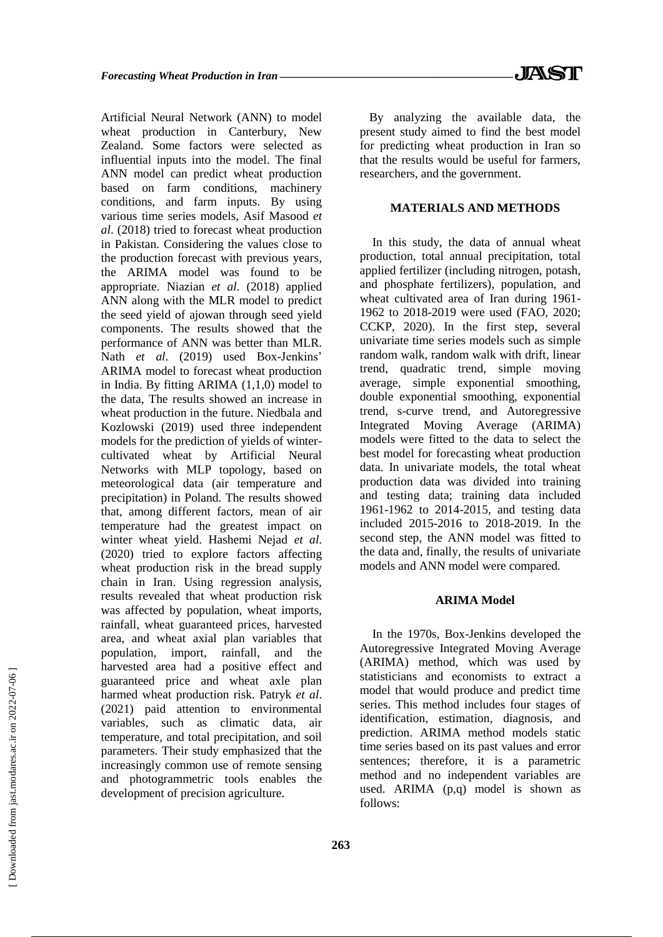Artificial Neural Network (ANN) to model wheat production in Canterbury, New Zealand. Some factors were selected as influential inputs into the model. The final ANN model can predict wheat production based on farm conditions, machinery conditions, and farm inputs. By using various time series models, Asif Masood *et al*. (2018) tried to forecast wheat production in Pakistan. Considering the values close to the production forecast with previous years, the ARIMA model was found to be appropriate. Niazian *et al*. (2018) applied ANN along with the MLR model to predict the seed yield of ajowan through seed yield components. The results showed that the performance of ANN was better than MLR. Nath *et al*. (2019) used Box-Jenkins' ARIMA model to forecast wheat production in India. By fitting ARIMA (1,1,0) model to the data, The results showed an increase in wheat production in the future. Niedbala and Kozlowski (2019) used three independent models for the prediction of yields of wintercultivated wheat by Artificial Neural Networks with MLP topology, based on meteorological data (air temperature and precipitation) in Poland. The results showed that, among different factors, mean of air temperature had the greatest impact on winter wheat yield. Hashemi Nejad *et al*. (2020) tried to explore factors affecting wheat production risk in the bread supply chain in Iran. Using regression analysis, results revealed that wheat production risk was affected by population, wheat imports, rainfall, wheat guaranteed prices, harvested area, and wheat axial plan variables that population, import, rainfall, and the harvested area had a positive effect and guaranteed price and wheat axle plan harmed wheat production risk. Patryk *et al*. (2021) paid attention to environmental variables, such as climatic data, air temperature, and total precipitation, and soil parameters. Their study emphasized that the increasingly common use of remote sensing and photogrammetric tools enables the development of precision agriculture.

By analyzing the available data, the present study aimed to find the best model for predicting wheat production in Iran so that the results would be useful for farmers, researchers, and the government.

# **MATERIALS AND METHODS**

In this study, the data of annual wheat production, total annual precipitation, total applied fertilizer (including nitrogen, potash, and phosphate fertilizers), population, and wheat cultivated area of Iran during 1961- 1962 to 2018-2019 were used (FAO, 2020; CCKP, 2020). In the first step, several univariate time series models such as simple random walk, random walk with drift, linear trend, quadratic trend, simple moving average, simple exponential smoothing, double exponential smoothing, exponential trend, s-curve trend, and Autoregressive Integrated Moving Average (ARIMA) models were fitted to the data to select the best model for forecasting wheat production data. In univariate models, the total wheat production data was divided into training and testing data; training data included 1961-1962 to 2014-2015, and testing data included 2015-2016 to 2018-2019. In the second step, the ANN model was fitted to the data and, finally, the results of univariate models and ANN model were compared.

### **ARIMA Model**

In the 1970s, Box-Jenkins developed the Autoregressive Integrated Moving Average (ARIMA) method, which was used by statisticians and economists to extract a model that would produce and predict time series. This method includes four stages of identification, estimation, diagnosis, and prediction. ARIMA method models static time series based on its past values and error sentences; therefore, it is a parametric method and no independent variables are used. ARIMA (p,q) model is shown as follows: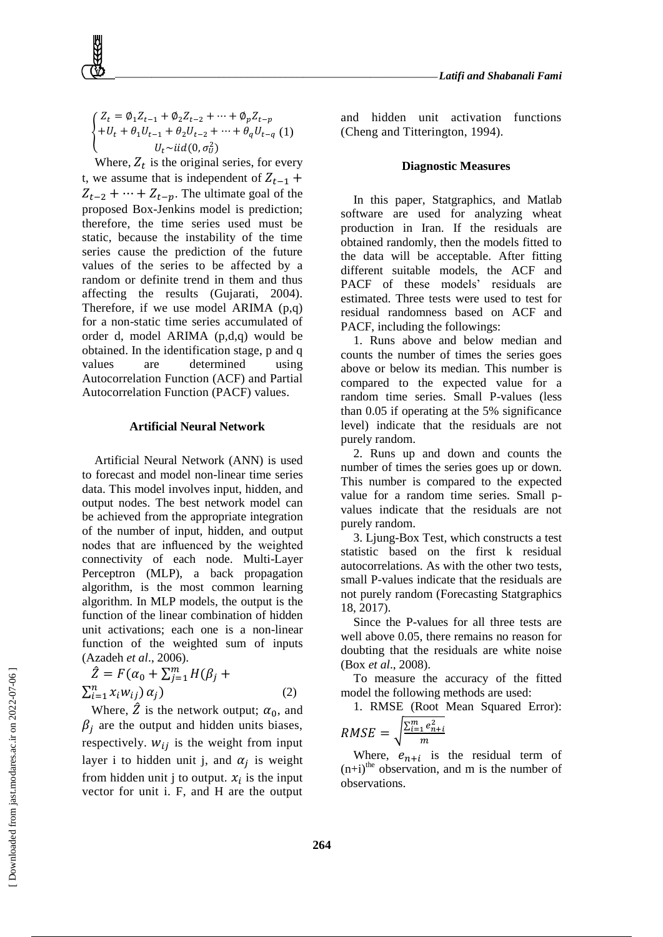#### Z  $^{+}$  $U_t \sim$ iid $(0, \sigma_U^2)$ (1)

{

Where,  $Z_t$  is the original series, for every t, we assume that is independent of  $Z_{t-1}$  +  $Z_{t-2} + \cdots + Z_{t-p}$ . The ultimate goal of the proposed Box-Jenkins model is prediction; therefore, the time series used must be static, because the instability of the time series cause the prediction of the future values of the series to be affected by a random or definite trend in them and thus affecting the results (Gujarati, 2004). Therefore, if we use model ARIMA (p,q) for a non-static time series accumulated of order d, model ARIMA (p,d,q) would be obtained. In the identification stage, p and q values are determined using Autocorrelation Function (ACF) and Partial Autocorrelation Function (PACF) values.

#### **Artificial Neural Network**

Artificial Neural Network (ANN) is used to forecast and model non-linear time series data. This model involves input, hidden, and output nodes. The best network model can be achieved from the appropriate integration of the number of input, hidden, and output nodes that are influenced by the weighted connectivity of each node. Multi-Layer Perceptron (MLP), a back propagation algorithm, is the most common learning algorithm. In MLP models, the output is the function of the linear combination of hidden unit activations; each one is a non-linear function of the weighted sum of inputs (Azadeh *et al*., 2006).

$$
\hat{Z} = F(\alpha_0 + \sum_{j=1}^{m} H(\beta_j + \sum_{i=1}^{n} x_i w_{ij}) \alpha_j)
$$
\n
$$
(2)
$$

Where,  $\hat{Z}$  is the network output;  $\alpha_0$ , and  $\beta_i$  are the output and hidden units biases, respectively.  $W_{ij}$  is the weight from input layer i to hidden unit j, and  $\alpha_i$  is weight from hidden unit j to output.  $x_i$  is the input vector for unit i. F, and H are the output

and hidden unit activation functions (Cheng and Titterington, 1994).

# **Diagnostic Measures**

In this paper, Statgraphics, and Matlab software are used for analyzing wheat production in Iran. If the residuals are obtained randomly, then the models fitted to the data will be acceptable. After fitting different suitable models, the ACF and PACF of these models' residuals are estimated. Three tests were used to test for residual randomness based on ACF and PACF, including the followings:

1. Runs above and below median and counts the number of times the series goes above or below its median. This number is compared to the expected value for a random time series. Small P-values (less than 0.05 if operating at the 5% significance level) indicate that the residuals are not purely random.

2. Runs up and down and counts the number of times the series goes up or down. This number is compared to the expected value for a random time series. Small pvalues indicate that the residuals are not purely random.

3. Ljung-Box Test, which constructs a test statistic based on the first k residual autocorrelations. As with the other two tests, small P-values indicate that the residuals are not purely random (Forecasting Statgraphics 18, 2017).

Since the P-values for all three tests are well above 0.05, there remains no reason for doubting that the residuals are white noise (Box *et al*., 2008).

To measure the accuracy of the fitted model the following methods are used:

1. RMSE (Root Mean Squared Error):

$$
RMSE = \sqrt{\frac{\sum_{i=1}^{m} e_{n+i}^2}{m}}
$$

Where,  $e_{n+i}$  is the residual term of  $(n+i)$ <sup>the</sup> observation, and m is the number of observations.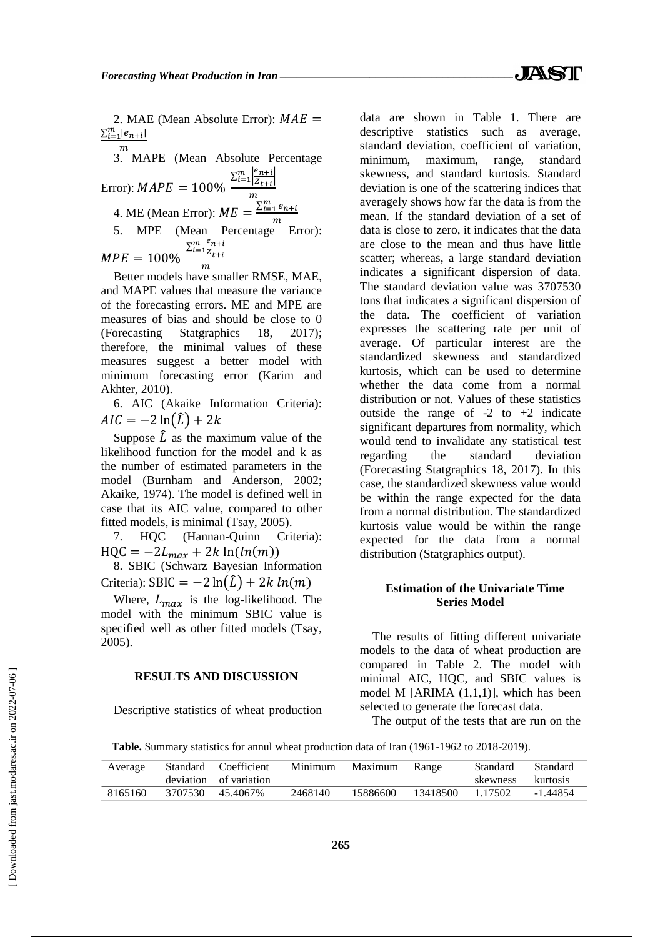2. MAE (Mean Absolute Error):  $MAE =$  $\sum_{i=1}^m |e_{n+i}|$ 

3. MAPE (Mean Absolute Percentage Error): 
$$
MAPE = 100\%
$$
\n $\frac{\sum_{i=1}^{m} \left| \frac{e_{n+i}}{Z_{t+i}} \right|}{m}$ \n4. ME (Mean Error):  $ME = \frac{\sum_{i=1}^{m} e_{n+i}}{m}$ \n5. MPE (Mean Percentage Error):  $MFE = 100\%$ \n $\frac{\sum_{i=1}^{m} \frac{e_{n+i}}{Z_{t+i}}}{m}$ \n $MPE = 100\%$ 

Better models have smaller RMSE, MAE, and MAPE values that measure the variance of the forecasting errors. ME and MPE are measures of bias and should be close to 0 (Forecasting Statgraphics 18, 2017); therefore, the minimal values of these measures suggest a better model with minimum forecasting error (Karim and Akhter, 2010).

6. AIC (Akaike Information Criteria):  $AIC = -2 \ln(\hat{L}) + 2k$ 

Suppose  $\hat{L}$  as the maximum value of the likelihood function for the model and k as the number of estimated parameters in the model (Burnham and Anderson, 2002; Akaike, 1974). The model is defined well in case that its AIC value, compared to other fitted models, is minimal (Tsay, 2005).

7. HQC (Hannan-Quinn Criteria):  $HQC = -2L_{max} + 2k \ln(ln(m))$ 

8. SBIC (Schwarz Bayesian Information Criteria):  $SBIC = -2 \ln(\hat{L}) + 2k \ln(m)$ 

Where,  $L_{max}$  is the log-likelihood. The model with the minimum SBIC value is specified well as other fitted models (Tsay, 2005).

# **RESULTS AND DISCUSSION**

Descriptive statistics of wheat production

data are shown in Table 1. There are descriptive statistics such as average, standard deviation, coefficient of variation, minimum, maximum, range, standard skewness, and standard kurtosis. Standard deviation is one of the scattering indices that averagely shows how far the data is from the mean. If the standard deviation of a set of data is close to zero, it indicates that the data are close to the mean and thus have little scatter; whereas, a large standard deviation indicates a significant dispersion of data. The standard deviation value was 3707530 tons that indicates a significant dispersion of the data. The coefficient of variation expresses the scattering rate per unit of average. Of particular interest are the standardized skewness and standardized kurtosis, which can be used to determine whether the data come from a normal distribution or not. Values of these statistics outside the range of  $-2$  to  $+2$  indicate significant departures from normality, which would tend to invalidate any statistical test regarding the standard deviation (Forecasting Statgraphics 18, 2017). In this case, the standardized skewness value would be within the range expected for the data from a normal distribution. The standardized kurtosis value would be within the range expected for the data from a normal distribution (Statgraphics output).

# **Estimation of the Univariate Time Series Model**

The results of fitting different univariate models to the data of wheat production are compared in Table 2. The model with minimal AIC, HQC, and SBIC values is model M [ARIMA (1,1,1)], which has been selected to generate the forecast data.

The output of the tests that are run on the

**Table.** Summary statistics for annul wheat production data of Iran (1961-1962 to 2018-2019).

| Average | Standard Coefficient<br>deviation of variation | Minimum | Maximum Range |                  | Standard<br>skewness kurtosis | Standard |
|---------|------------------------------------------------|---------|---------------|------------------|-------------------------------|----------|
| 8165160 | 3707530 45.4067%                               | 2468140 | 15886600      | 13418500 1.17502 |                               | -1.44854 |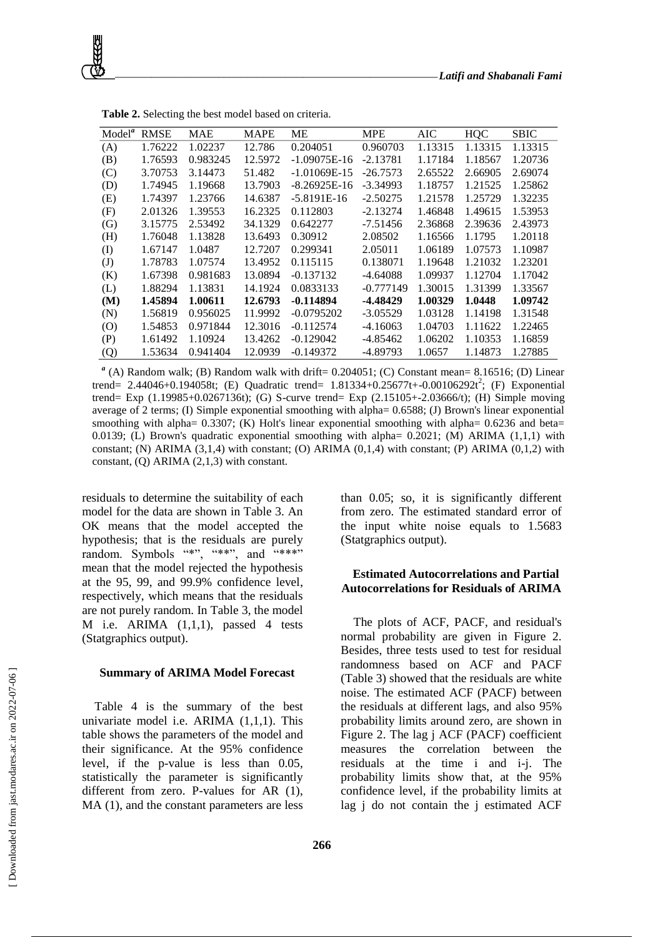| Model <sup>a</sup> | RMSE    | MAE      | MAPE    | MЕ             | <b>MPE</b>  | AIC     | <b>HQC</b> | <b>SBIC</b> |
|--------------------|---------|----------|---------|----------------|-------------|---------|------------|-------------|
| (A)                | 1.76222 | 1.02237  | 12.786  | 0.204051       | 0.960703    | 1.13315 | 1.13315    | 1.13315     |
| (B)                | 1.76593 | 0.983245 | 12.5972 | $-1.09075E-16$ | $-2.13781$  | 1.17184 | 1.18567    | 1.20736     |
| (C)                | 3.70753 | 3.14473  | 51.482  | $-1.01069E-15$ | $-26.7573$  | 2.65522 | 2.66905    | 2.69074     |
| (D)                | 1.74945 | 1.19668  | 13.7903 | $-8.26925E-16$ | $-3.34993$  | 1.18757 | 1.21525    | 1.25862     |
| (E)                | 1.74397 | 1.23766  | 14.6387 | $-5.8191E-16$  | $-2.50275$  | 1.21578 | 1.25729    | 1.32235     |
| (F)                | 2.01326 | 1.39553  | 16.2325 | 0.112803       | $-2.13274$  | 1.46848 | 1.49615    | 1.53953     |
| (G)                | 3.15775 | 2.53492  | 34.1329 | 0.642277       | $-7.51456$  | 2.36868 | 2.39636    | 2.43973     |
| (H)                | 1.76048 | 1.13828  | 13.6493 | 0.30912        | 2.08502     | 1.16566 | 1.1795     | 1.20118     |
| $\rm (I)$          | 1.67147 | 1.0487   | 12.7207 | 0.299341       | 2.05011     | 1.06189 | 1.07573    | 1.10987     |
| $\mathrm{(J)}$     | 1.78783 | 1.07574  | 13.4952 | 0.115115       | 0.138071    | 1.19648 | 1.21032    | 1.23201     |
| (K)                | 1.67398 | 0.981683 | 13.0894 | $-0.137132$    | $-4.64088$  | 1.09937 | 1.12704    | 1.17042     |
| (L)                | 1.88294 | 1.13831  | 14.1924 | 0.0833133      | $-0.777149$ | 1.30015 | 1.31399    | 1.33567     |
| (M)                | 1.45894 | 1.00611  | 12.6793 | $-0.114894$    | -4.48429    | 1.00329 | 1.0448     | 1.09742     |
| (N)                | 1.56819 | 0.956025 | 11.9992 | $-0.0795202$   | $-3.05529$  | 1.03128 | 1.14198    | 1.31548     |
| (O)                | 1.54853 | 0.971844 | 12.3016 | $-0.112574$    | $-4.16063$  | 1.04703 | 1.11622    | 1.22465     |
| (P)                | 1.61492 | 1.10924  | 13.4262 | $-0.129042$    | $-4.85462$  | 1.06202 | 1.10353    | 1.16859     |
| (Q)                | 1.53634 | 0.941404 | 12.0939 | $-0.149372$    | -4.89793    | 1.0657  | 1.14873    | 1.27885     |

**Table 2.** Selecting the best model based on criteria.

 $^{a}$  (A) Random walk; (B) Random walk with drift= 0.204051; (C) Constant mean= 8.16516; (D) Linear trend= 2.44046+0.194058t; (E) Quadratic trend=  $1.81334+0.25677t+0.00106292t^2$ ; (F) Exponential trend= Exp (1.19985+0.0267136t); (G) S-curve trend= Exp (2.15105+-2.03666/t); (H) Simple moving average of 2 terms; (I) Simple exponential smoothing with alpha= 0.6588; (J) Brown's linear exponential smoothing with alpha= 0.3307; (K) Holt's linear exponential smoothing with alpha= 0.6236 and beta= 0.0139; (L) Brown's quadratic exponential smoothing with alpha=  $0.2021$ ; (M) ARIMA (1,1,1) with constant; (N) ARIMA  $(3,1,4)$  with constant; (O) ARIMA  $(0,1,4)$  with constant; (P) ARIMA  $(0,1,2)$  with constant, (Q) ARIMA (2,1,3) with constant.

residuals to determine the suitability of each model for the data are shown in Table 3. An OK means that the model accepted the hypothesis; that is the residuals are purely random. Symbols "\*", "\*\*", and "\*\*\*" mean that the model rejected the hypothesis at the 95, 99, and 99.9% confidence level, respectively, which means that the residuals are not purely random. In Table 3, the model M i.e. ARIMA  $(1,1,1)$ , passed 4 tests (Statgraphics output).

#### **Summary of ARIMA Model Forecast**

Table 4 is the summary of the best univariate model i.e. ARIMA (1,1,1). This table shows the parameters of the model and their significance. At the 95% confidence level, if the p-value is less than 0.05, statistically the parameter is significantly different from zero. P-values for AR (1), MA  $(1)$ , and the constant parameters are less than 0.05; so, it is significantly different from zero. The estimated standard error of the input white noise equals to 1.5683 (Statgraphics output).

# **Estimated Autocorrelations and Partial Autocorrelations for Residuals of ARIMA**

The plots of ACF, PACF, and residual's normal probability are given in Figure 2. Besides, three tests used to test for residual randomness based on ACF and PACF (Table 3) showed that the residuals are white noise. The estimated ACF (PACF) between the residuals at different lags, and also 95% probability limits around zero, are shown in Figure 2. The lag j ACF (PACF) coefficient measures the correlation between the residuals at the time i and i-j. The probability limits show that, at the 95% confidence level, if the probability limits at lag j do not contain the j estimated ACF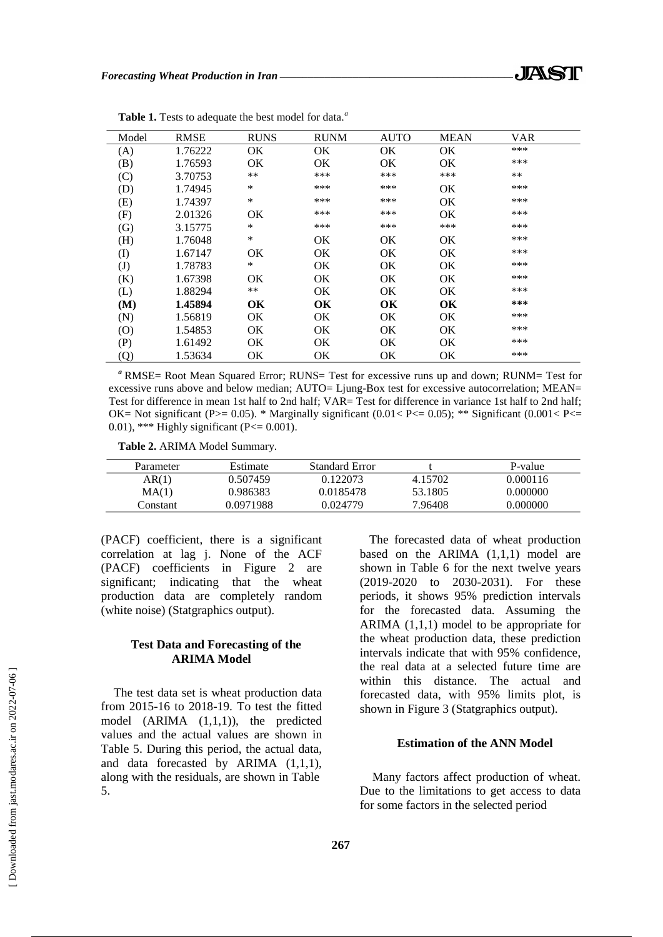| Model                      | <b>RMSE</b> | <b>RUNS</b> | <b>RUNM</b> | <b>AUTO</b> | <b>MEAN</b> | VAR |
|----------------------------|-------------|-------------|-------------|-------------|-------------|-----|
| (A)                        | 1.76222     | OK.         | ОK          | OK          | OK          | *** |
| (B)                        | 1.76593     | OK          | OK          | OK          | OK          | *** |
| (C)                        | 3.70753     | $***$       | ***         | ***         | ***         | **  |
| (D)                        | 1.74945     | $\ast$      | ***         | ***         | ОK          | *** |
| (E)                        | 1.74397     | $\ast$      | ***         | ***         | <b>OK</b>   | *** |
| (F)                        | 2.01326     | ОK          | ***         | ***         | OK          | *** |
| (G)                        | 3.15775     | $\ast$      | ***         | ***         | ***         | *** |
| (H)                        | 1.76048     | $\ast$      | ОK          | OK          | OK          | *** |
| $\rm (I)$                  | 1.67147     | OK          | <b>OK</b>   | OK          | OK          | *** |
| $\mathrm{(J)}$             | 1.78783     | $\ast$      | OK          | OK          | OK          | *** |
| (K)                        | 1.67398     | OK          | <b>OK</b>   | OK          | OK          | *** |
| (L)                        | 1.88294     | **          | OK          | OK          | OK          | *** |
| (M)                        | 1.45894     | OK          | OK          | OК          | OK          | *** |
| (N)                        | 1.56819     | OK.         | OK.         | OK          | OK          | *** |
| (0)                        | 1.54853     | OK          | <b>OK</b>   | OK          | OK          | *** |
| (P)                        | 1.61492     | OK.         | OK          | OK          | OK          | *** |
| $\left( \mathrm{Q}\right)$ | 1.53634     | OK          | OK          | OK          | ОK          | *** |

**Table 1.** Tests to adequate the best model for data.*<sup>a</sup>*

*<sup>a</sup>* RMSE= Root Mean Squared Error; RUNS= Test for excessive runs up and down; RUNM= Test for excessive runs above and below median; AUTO= Ljung-Box test for excessive autocorrelation; MEAN= Test for difference in mean 1st half to 2nd half; VAR= Test for difference in variance 1st half to 2nd half; OK= Not significant (P $>$  = 0.05). \* Marginally significant (0.01< P $\lt$  = 0.05); \*\* Significant (0.001 $\lt$  P $\lt$  = 0.01), \*\*\* Highly significant (P $\leq$  0.001).

**Table 2.** ARIMA Model Summary.

| Parameter | Estimate  | <b>Standard Error</b> |         | P-value  |
|-----------|-----------|-----------------------|---------|----------|
| AR(1)     | 0.507459  | 0.122073              | 4.15702 | 0.000116 |
| MA(1)     | 0.986383  | 0.0185478             | 53.1805 | 0.000000 |
| Constant  | 0.0971988 | 0.024779              | 7.96408 | 0.000000 |

(PACF) coefficient, there is a significant correlation at lag j. None of the ACF (PACF) coefficients in Figure 2 are significant; indicating that the wheat production data are completely random (white noise) (Statgraphics output).

# **Test Data and Forecasting of the ARIMA Model**

The test data set is wheat production data from 2015-16 to 2018-19. To test the fitted model (ARIMA (1,1,1)), the predicted values and the actual values are shown in Table 5. During this period, the actual data, and data forecasted by ARIMA (1,1,1), along with the residuals, are shown in Table 5.

The forecasted data of wheat production based on the ARIMA (1,1,1) model are shown in Table 6 for the next twelve years (2019-2020 to 2030-2031). For these periods, it shows 95% prediction intervals for the forecasted data. Assuming the ARIMA (1,1,1) model to be appropriate for the wheat production data, these prediction intervals indicate that with 95% confidence, the real data at a selected future time are within this distance. The actual and forecasted data, with 95% limits plot, is shown in Figure 3 (Statgraphics output).

# **Estimation of the ANN Model**

Many factors affect production of wheat. Due to the limitations to get access to data for some factors in the selected period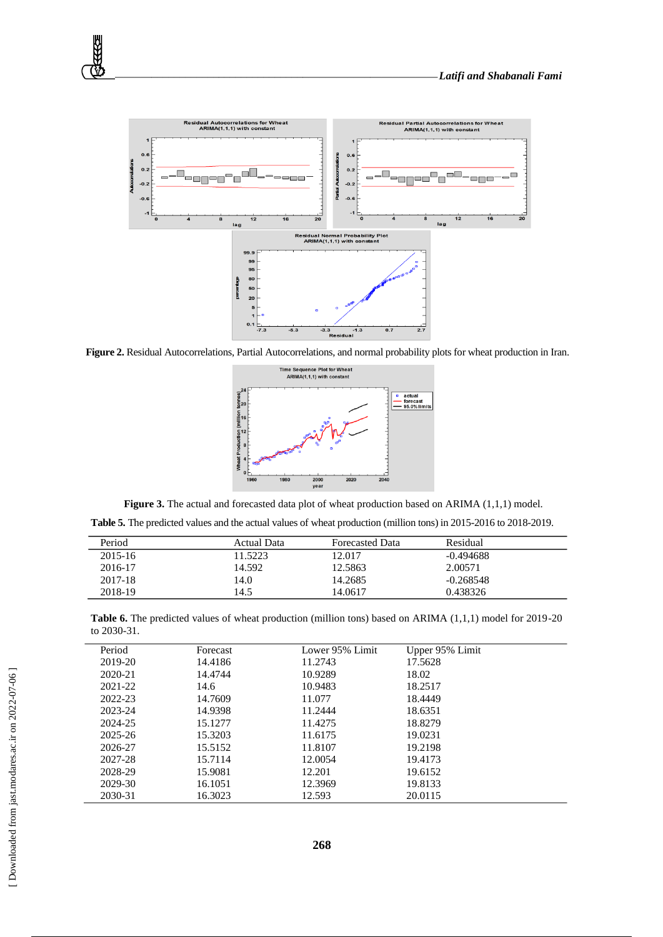

**Figure 2.** Residual Autocorrelations, Partial Autocorrelations, and normal probability plots for wheat production in Iran.



Figure 3. The actual and forecasted data plot of wheat production based on ARIMA (1,1,1) model.

**Table 5.** The predicted values and the actual values of wheat production (million tons) in 2015-2016 to 2018-2019.

| Period  | Actual Data | <b>Forecasted Data</b> | Residual    |  |
|---------|-------------|------------------------|-------------|--|
| 2015-16 | 11.5223     | 12.017                 | $-0.494688$ |  |
| 2016-17 | 14.592      | 12.5863                | 2.00571     |  |
| 2017-18 | 14.0        | 14.2685                | $-0.268548$ |  |
| 2018-19 | 14.5        | 14.0617                | 0.438326    |  |

**Table 6.** The predicted values of wheat production (million tons) based on ARIMA (1,1,1) model for 2019-20 to 2030-31.

| Period      | Forecast | Lower 95% Limit | Upper 95% Limit |  |
|-------------|----------|-----------------|-----------------|--|
| 2019-20     | 14.4186  | 11.2743         | 17.5628         |  |
| $2020 - 21$ | 14.4744  | 10.9289         | 18.02           |  |
| 2021-22     | 14.6     | 10.9483         | 18.2517         |  |
| 2022-23     | 14.7609  | 11.077          | 18.4449         |  |
| 2023-24     | 14.9398  | 11.2444         | 18.6351         |  |
| 2024-25     | 15.1277  | 11.4275         | 18.8279         |  |
| 2025-26     | 15.3203  | 11.6175         | 19.0231         |  |
| 2026-27     | 15.5152  | 11.8107         | 19.2198         |  |
| 2027-28     | 15.7114  | 12.0054         | 19.4173         |  |
| 2028-29     | 15.9081  | 12.201          | 19.6152         |  |
| 2029-30     | 16.1051  | 12.3969         | 19.8133         |  |
| 2030-31     | 16.3023  | 12.593          | 20.0115         |  |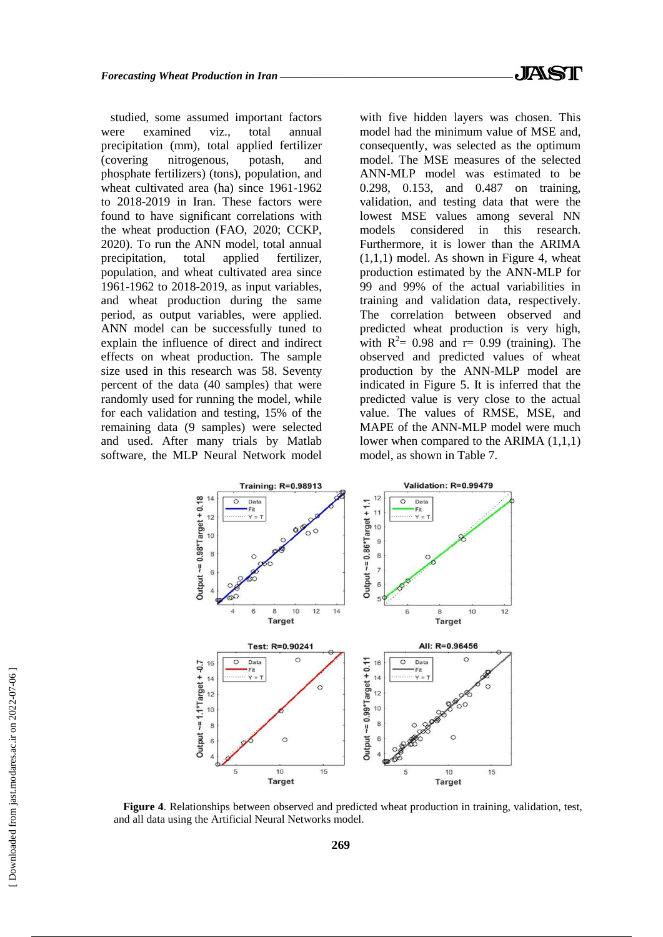studied, some assumed important factors were examined viz., total annual precipitation (mm), total applied fertilizer (covering nitrogenous, potash, and phosphate fertilizers) (tons), population, and wheat cultivated area (ha) since 1961-1962 to 2018-2019 in Iran. These factors were found to have significant correlations with the wheat production (FAO, 2020; CCKP, 2020). To run the ANN model, total annual precipitation, total applied fertilizer, population, and wheat cultivated area since 1961-1962 to 2018-2019, as input variables, and wheat production during the same period, as output variables, were applied. ANN model can be successfully tuned to explain the influence of direct and indirect effects on wheat production. The sample size used in this research was 58. Seventy percent of the data (40 samples) that were randomly used for running the model, while for each validation and testing, 15% of the remaining data (9 samples) were selected and used. After many trials by Matlab software, the MLP Neural Network model

with five hidden layers was chosen. This model had the minimum value of MSE and, consequently, was selected as the optimum model. The MSE measures of the selected ANN-MLP model was estimated to be 0.298, 0.153, and 0.487 on training, validation, and testing data that were the lowest MSE values among several NN models considered in this research. Furthermore, it is lower than the ARIMA  $(1,1,1)$  model. As shown in Figure 4, wheat production estimated by the ANN-MLP for 99 and 99% of the actual variabilities in training and validation data, respectively. The correlation between observed and predicted wheat production is very high, with  $R^2 = 0.98$  and r= 0.99 (training). The observed and predicted values of wheat production by the ANN-MLP model are indicated in Figure 5. It is inferred that the predicted value is very close to the actual value. The values of RMSE, MSE, and MAPE of the ANN-MLP model were much lower when compared to the ARIMA (1,1,1) model, as shown in Table 7.



**Figure 4**. Relationships between observed and predicted wheat production in training, validation, test, and all data using the Artificial Neural Networks model.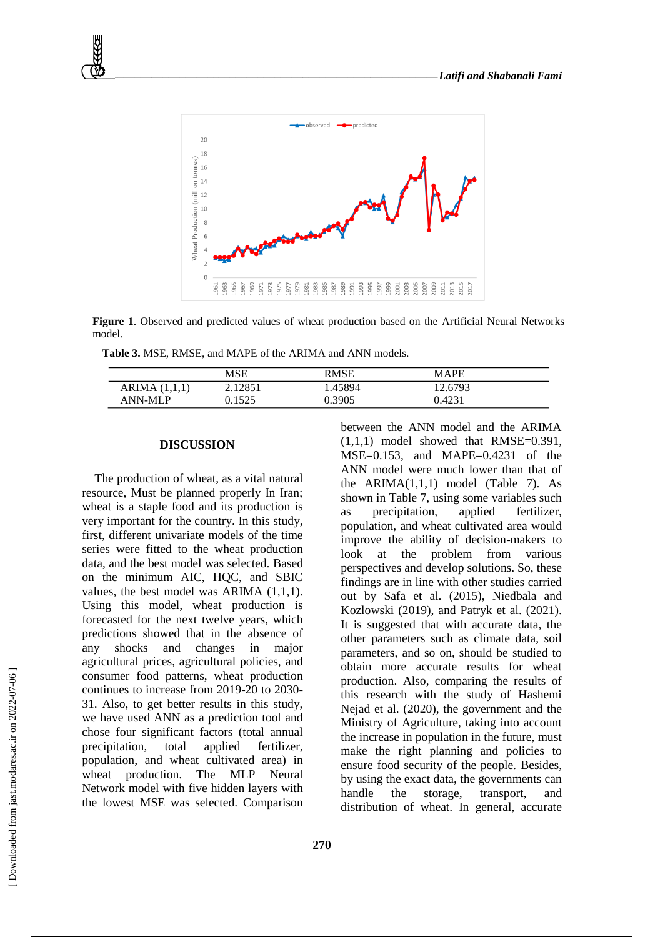

**Figure 1**. Observed and predicted values of wheat production based on the Artificial Neural Networks model.

**Table 3.** MSE, RMSE, and MAPE of the ARIMA and ANN models.

|                 | MSE     | RMSE    | <b>MAPE</b> |  |
|-----------------|---------|---------|-------------|--|
| ARIMA $(1,1,1)$ | 2.12851 | . 45894 | 12.6793     |  |
| ANN-MLP         | 0.1525  | ).3905  | 0.4231      |  |

#### **DISCUSSION**

The production of wheat, as a vital natural resource, Must be planned properly In Iran; wheat is a staple food and its production is very important for the country. In this study, first, different univariate models of the time series were fitted to the wheat production data, and the best model was selected. Based on the minimum AIC, HQC, and SBIC values, the best model was ARIMA (1,1,1). Using this model, wheat production is forecasted for the next twelve years, which predictions showed that in the absence of any shocks and changes in major agricultural prices, agricultural policies, and consumer food patterns, wheat production continues to increase from 2019-20 to 2030- 31. Also, to get better results in this study, we have used ANN as a prediction tool and chose four significant factors (total annual precipitation, total applied fertilizer, population, and wheat cultivated area) in wheat production. The MLP Neural Network model with five hidden layers with the lowest MSE was selected. Comparison between the ANN model and the ARIMA  $(1,1,1)$  model showed that RMSE=0.391, MSE=0.153, and MAPE=0.4231 of the ANN model were much lower than that of the ARIMA(1,1,1) model (Table 7). As shown in Table 7, using some variables such as precipitation, applied fertilizer, population, and wheat cultivated area would improve the ability of decision-makers to look at the problem from various perspectives and develop solutions. So, these findings are in line with other studies carried out by Safa et al. (2015), Niedbala and Kozlowski (2019), and Patryk et al. (2021). It is suggested that with accurate data, the other parameters such as climate data, soil parameters, and so on, should be studied to obtain more accurate results for wheat production. Also, comparing the results of this research with the study of Hashemi Nejad et al. (2020), the government and the Ministry of Agriculture, taking into account the increase in population in the future, must make the right planning and policies to ensure food security of the people. Besides, by using the exact data, the governments can handle the storage, transport, and distribution of wheat. In general, accurate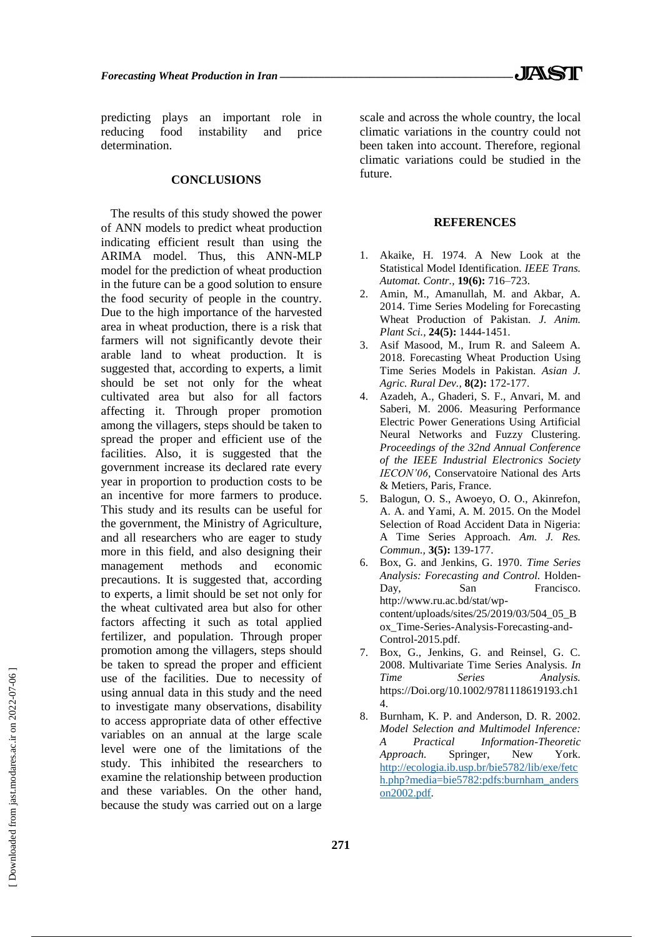predicting plays an important role in reducing food instability and price determination.

#### **CONCLUSIONS**

The results of this study showed the power of ANN models to predict wheat production indicating efficient result than using the ARIMA model. Thus, this ANN-MLP model for the prediction of wheat production in the future can be a good solution to ensure the food security of people in the country. Due to the high importance of the harvested area in wheat production, there is a risk that farmers will not significantly devote their arable land to wheat production. It is suggested that, according to experts, a limit should be set not only for the wheat cultivated area but also for all factors affecting it. Through proper promotion among the villagers, steps should be taken to spread the proper and efficient use of the facilities. Also, it is suggested that the government increase its declared rate every year in proportion to production costs to be an incentive for more farmers to produce. This study and its results can be useful for the government, the Ministry of Agriculture, and all researchers who are eager to study more in this field, and also designing their management methods and economic precautions. It is suggested that, according to experts, a limit should be set not only for the wheat cultivated area but also for other factors affecting it such as total applied fertilizer, and population. Through proper promotion among the villagers, steps should be taken to spread the proper and efficient use of the facilities. Due to necessity of using annual data in this study and the need to investigate many observations, disability to access appropriate data of other effective variables on an annual at the large scale level were one of the limitations of the study. This inhibited the researchers to examine the relationship between production and these variables. On the other hand, because the study was carried out on a large scale and across the whole country, the local climatic variations in the country could not been taken into account. Therefore, regional climatic variations could be studied in the future.

### **REFERENCES**

- Akaike, H. 1974. A New Look at the Statistical Model Identification. *IEEE Trans. Automat. Contr.,* **19(6):** 716–723.
- 2. Amin, M., Amanullah, M. and Akbar, A. 2014. Time Series Modeling for Forecasting Wheat Production of Pakistan. *J. Anim. Plant Sci.,* **24(5):** 1444-1451.
- 3. Asif Masood, M., Irum R. and Saleem A. 2018. Forecasting Wheat Production Using Time Series Models in Pakistan. *Asian J. Agric. Rural Dev.,* **8(2):** 172-177.
- 4. Azadeh, A., Ghaderi, S. F., Anvari, M. and Saberi, M. 2006. Measuring Performance Electric Power Generations Using Artificial Neural Networks and Fuzzy Clustering. *Proceedings of the 32nd Annual Conference of the IEEE Industrial Electronics Society IECON'06*, Conservatoire National des Arts & Metiers, Paris, France.
- 5. Balogun, O. S., Awoeyo, O. O., Akinrefon, A. A. and Yami, A. M. 2015. On the Model Selection of Road Accident Data in Nigeria: A Time Series Approach. *Am. J. Res. Commun.,* **3(5):** 139-177.
- 6. Box, G. and Jenkins, G. 1970. *Time Series Analysis: Forecasting and Control.* Holden-Day, San Francisco. http://www.ru.ac.bd/stat/wpcontent/uploads/sites/25/2019/03/504\_05\_B ox\_Time-Series-Analysis-Forecasting-and-Control-2015.pdf.
- 7. Box, G., Jenkins, G. and Reinsel, G. C. 2008. Multivariate Time Series Analysis. *In Time Series Analysis.* https://Doi.org/10.1002/9781118619193.ch1 4.
- 8. Burnham, K. P. and Anderson, D. R. 2002. *Model Selection and Multimodel Inference: A Practical Information-Theoretic Approach.* Springer, New York. [http://ecologia.ib.usp.br/bie5782/lib/exe/fetc](http://ecologia.ib.usp.br/bie5782/lib/exe/fetch.php?media=bie5782:pdfs:burnham_anderson2002.pdf) [h.php?media=bie5782:pdfs:burnham\\_anders](http://ecologia.ib.usp.br/bie5782/lib/exe/fetch.php?media=bie5782:pdfs:burnham_anderson2002.pdf) [on2002.pdf.](http://ecologia.ib.usp.br/bie5782/lib/exe/fetch.php?media=bie5782:pdfs:burnham_anderson2002.pdf)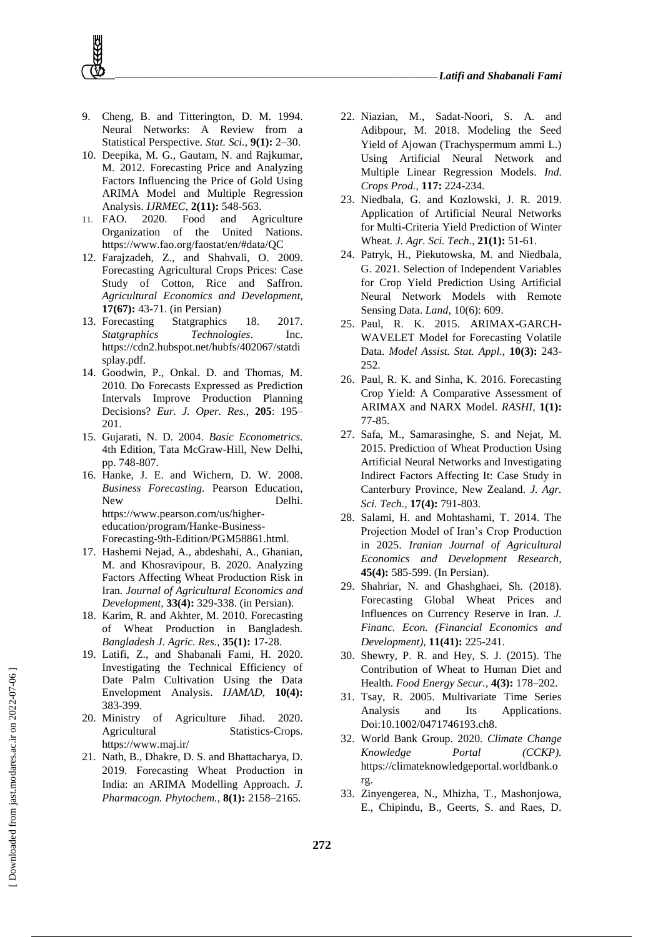- 9. Cheng, B. and Titterington, D. M. 1994. Neural Networks: A Review from a Statistical Perspective. *Stat. Sci.,* **9(1):** 2–30.
- 10. Deepika, M. G., Gautam, N. and Rajkumar, M. 2012. Forecasting Price and Analyzing Factors Influencing the Price of Gold Using ARIMA Model and Multiple Regression Analysis. *IJRMEC*, **2(11):** 548-563.
- 11. FAO. 2020. Food and Agriculture Organization of the United Nations. https://www.fao.org/faostat/en/#data/QC
- 12. Farajzadeh, Z., and Shahvali, O. 2009. Forecasting Agricultural Crops Prices: Case Study of Cotton, Rice and Saffron*. Agricultural Economics and Development,* **17(67):** 43-71. (in Persian)
- 13. Forecasting Statgraphics 18. 2017. *Statgraphics Technologies*. Inc. https://cdn2.hubspot.net/hubfs/402067/statdi splay.pdf.
- 14. Goodwin, P., Onkal. D. and Thomas, M. 2010. Do Forecasts Expressed as Prediction Intervals Improve Production Planning Decisions? *Eur. J. Oper. Res.,* **205**: 195– 201.
- 15. Gujarati, N. D. 2004. *Basic Econometrics.* 4th Edition, Tata McGraw-Hill, New Delhi, pp. 748-807.
- 16. Hanke, J. E. and Wichern, D. W. 2008. *Business Forecasting.* Pearson Education, New Delhi. https://www.pearson.com/us/highereducation/program/Hanke-Business-Forecasting-9th-Edition/PGM58861.html.
- 17. Hashemi Nejad, A., abdeshahi, A., Ghanian, M. and Khosravipour, B. 2020. Analyzing Factors Affecting Wheat Production Risk in Iran. *Journal of Agricultural Economics and Development,* **33(4):** 329-338. (in Persian).
- 18. Karim, R. and Akhter, M. 2010. Forecasting of Wheat Production in Bangladesh. *Bangladesh J. Agric. Res.,* **35(1):** 17-28.
- 19. Latifi, Z., and Shabanali Fami, H. 2020. Investigating the Technical Efficiency of Date Palm Cultivation Using the Data Envelopment Analysis. *IJAMAD,* **10(4):** 383-399.
- 20. Ministry of Agriculture Jihad. 2020. Agricultural Statistics-Crops. https://www.maj.ir/
- 21. Nath, B., Dhakre, D. S. and Bhattacharya, D. 2019. Forecasting Wheat Production in India: an ARIMA Modelling Approach. *J. Pharmacogn. Phytochem.,* **8(1):** 2158–2165.
- 22. Niazian, M., Sadat-Noori, S. A. and Adibpour, M. 2018. Modeling the Seed Yield of Ajowan (Trachyspermum ammi L.) Using Artificial Neural Network and Multiple Linear Regression Models. *Ind. Crops Prod.,* **117:** 224-234.
- 23. Niedbala, G. and Kozlowski, J. R. 2019. Application of Artificial Neural Networks for Multi-Criteria Yield Prediction of Winter Wheat. *J. Agr. Sci. Tech.,* **21(1):** 51-61.
- 24. Patryk, H., Piekutowska, M. and Niedbala, G. 2021. Selection of Independent Variables for Crop Yield Prediction Using Artificial Neural Network Models with Remote Sensing Data. *Land*, 10(6): 609.
- 25. Paul, R. K. 2015. ARIMAX-GARCH-WAVELET Model for Forecasting Volatile Data. *Model Assist. Stat. Appl.,* **10(3):** 243- 252.
- 26. Paul, R. K. and Sinha, K. 2016. Forecasting Crop Yield: A Comparative Assessment of ARIMAX and NARX Model. *RASHI,* **1(1):** 77-85.
- 27. Safa, M., Samarasinghe, S. and Nejat, M. 2015. Prediction of Wheat Production Using Artificial Neural Networks and Investigating Indirect Factors Affecting It: Case Study in Canterbury Province, New Zealand. *J. Agr. Sci. Tech.,* **17(4):** 791-803.
- 28. Salami, H. and Mohtashami, T. 2014. The Projection Model of Iran's Crop Production in 2025. *Iranian Journal of Agricultural Economics and Development Research,* **45(4):** 585-599. (In Persian).
- 29. Shahriar, N. and Ghashghaei, Sh. (2018). Forecasting Global Wheat Prices and Influences on Currency Reserve in Iran. *J. Financ. Econ. (Financial Economics and Development),* **11(41):** 225-241.
- 30. Shewry, P. R. and Hey, S. J. (2015). The Contribution of Wheat to Human Diet and Health. *Food Energy Secur.,* **4(3):** 178–202.
- 31. Tsay, R. 2005. Multivariate Time Series Analysis and Its Applications. Doi:10.1002/0471746193.ch8.
- 32. World Bank Group. 2020. *Climate Change Knowledge Portal (CCKP).* https://climateknowledgeportal.worldbank.o rg.
- 33. Zinyengerea, N., Mhizha, T., Mashonjowa, E., Chipindu, B., Geerts, S. and Raes, D.